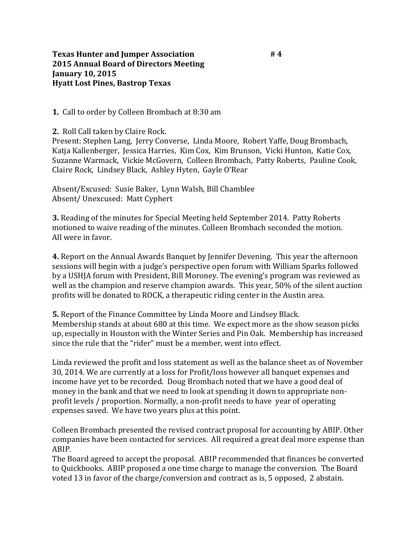**1.** Call to order by Colleen Brombach at 8:30 am

**2.** Roll Call taken by Claire Rock.

Present: Stephen Lang, Jerry Converse, Linda Moore, Robert Yaffe, Doug Brombach, Katja Kallenberger, Jessica Harries, Kim Cox, Kim Brunson, Vicki Hunton, Katie Cox, Suzanne Warmack, Vickie McGovern, Colleen Brombach, Patty Roberts, Pauline Cook, Claire Rock, Lindsey Black, Ashley Hyten, Gayle O'Rear

Absent/Excused: Susie Baker, Lynn Walsh, Bill Chamblee Absent/ Unexcused: Matt Cyphert

**3.** Reading of the minutes for Special Meeting held September 2014. Patty Roberts motioned to waive reading of the minutes. Colleen Brombach seconded the motion. All were in favor.

**4.** Report on the Annual Awards Banquet by Jennifer Devening. This year the afternoon sessions will begin with a judge's perspective open forum with William Sparks followed by a USHJA forum with President, Bill Moroney. The evening's program was reviewed as well as the champion and reserve champion awards. This year, 50% of the silent auction profits will be donated to ROCK, a therapeutic riding center in the Austin area.

**5.** Report of the Finance Committee by Linda Moore and Lindsey Black. Membership stands at about 680 at this time. We expect more as the show season picks up, especially in Houston with the Winter Series and Pin Oak. Membership has increased since the rule that the "rider" must be a member, went into effect.

Linda reviewed the profit and loss statement as well as the balance sheet as of November 30, 2014. We are currently at a loss for Profit/loss however all banquet expenses and income have yet to be recorded. Doug Brombach noted that we have a good deal of money in the bank and that we need to look at spending it down to appropriate nonprofit levels / proportion. Normally, a non-profit needs to have year of operating expenses saved. We have two years plus at this point.

Colleen Brombach presented the revised contract proposal for accounting by ABIP. Other companies have been contacted for services. All required a great deal more expense than ABIP.

The Board agreed to accept the proposal. ABIP recommended that finances be converted to Quickbooks. ABIP proposed a one time charge to manage the conversion. The Board voted 13 in favor of the charge/conversion and contract as is, 5 opposed, 2 abstain.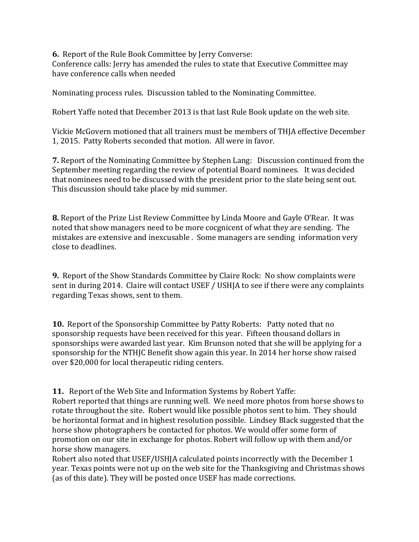**6.** Report of the Rule Book Committee by Jerry Converse: Conference calls: Jerry has amended the rules to state that Executive Committee may have conference calls when needed

Nominating process rules. Discussion tabled to the Nominating Committee.

Robert Yaffe noted that December 2013 is that last Rule Book update on the web site.

Vickie McGovern motioned that all trainers must be members of THJA effective December 1, 2015. Patty Roberts seconded that motion. All were in favor.

**7.** Report of the Nominating Committee by Stephen Lang: Discussion continued from the September meeting regarding the review of potential Board nominees. It was decided that nominees need to be discussed with the president prior to the slate being sent out. This discussion should take place by mid summer.

**8.** Report of the Prize List Review Committee by Linda Moore and Gayle O'Rear. It was noted that show managers need to be more cocgnicent of what they are sending. The mistakes are extensive and inexcusable . Some managers are sending information very close to deadlines.

**9.** Report of the Show Standards Committee by Claire Rock: No show complaints were sent in during 2014. Claire will contact USEF / USHJA to see if there were any complaints regarding Texas shows, sent to them.

**10.** Report of the Sponsorship Committee by Patty Roberts: Patty noted that no sponsorship requests have been received for this year. Fifteen thousand dollars in sponsorships were awarded last year. Kim Brunson noted that she will be applying for a sponsorship for the NTHJC Benefit show again this year. In 2014 her horse show raised over \$20,000 for local therapeutic riding centers.

**11.** Report of the Web Site and Information Systems by Robert Yaffe:

Robert reported that things are running well. We need more photos from horse shows to rotate throughout the site. Robert would like possible photos sent to him. They should be horizontal format and in highest resolution possible. Lindsey Black suggested that the horse show photographers be contacted for photos. We would offer some form of promotion on our site in exchange for photos. Robert will follow up with them and/or horse show managers.

Robert also noted that USEF/USHJA calculated points incorrectly with the December 1 year. Texas points were not up on the web site for the Thanksgiving and Christmas shows (as of this date). They will be posted once USEF has made corrections.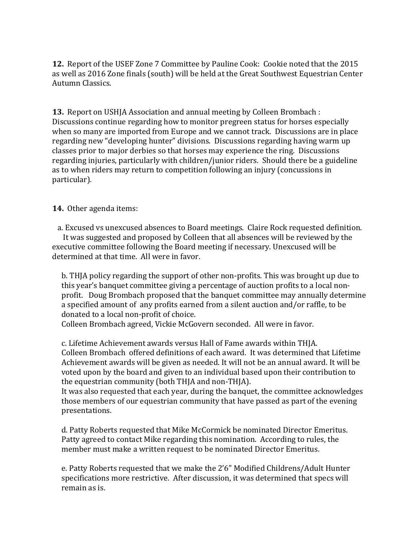**12.** Report of the USEF Zone 7 Committee by Pauline Cook: Cookie noted that the 2015 as well as 2016 Zone finals (south) will be held at the Great Southwest Equestrian Center Autumn Classics.

**13.** Report on USHJA Association and annual meeting by Colleen Brombach : Discussions continue regarding how to monitor pregreen status for horses especially when so many are imported from Europe and we cannot track. Discussions are in place regarding new "developing hunter" divisions. Discussions regarding having warm up classes prior to major derbies so that horses may experience the ring. Discussions regarding injuries, particularly with children/junior riders. Should there be a guideline as to when riders may return to competition following an injury (concussions in particular).

## **14.** Other agenda items:

 a. Excused vs unexcused absences to Board meetings. Claire Rock requested definition. It was suggested and proposed by Colleen that all absences will be reviewed by the executive committee following the Board meeting if necessary. Unexcused will be determined at that time. All were in favor.

b. THJA policy regarding the support of other non-profits. This was brought up due to this year's banquet committee giving a percentage of auction profits to a local nonprofit. Doug Brombach proposed that the banquet committee may annually determine a specified amount of any profits earned from a silent auction and/or raffle, to be donated to a local non-profit of choice.

Colleen Brombach agreed, Vickie McGovern seconded. All were in favor.

c. Lifetime Achievement awards versus Hall of Fame awards within THJA. Colleen Brombach offered definitions of each award. It was determined that Lifetime Achievement awards will be given as needed. It will not be an annual award. It will be voted upon by the board and given to an individual based upon their contribution to the equestrian community (both THJA and non-THJA).

It was also requested that each year, during the banquet, the committee acknowledges those members of our equestrian community that have passed as part of the evening presentations.

d. Patty Roberts requested that Mike McCormick be nominated Director Emeritus. Patty agreed to contact Mike regarding this nomination. According to rules, the member must make a written request to be nominated Director Emeritus.

e. Patty Roberts requested that we make the 2'6" Modified Childrens/Adult Hunter specifications more restrictive. After discussion, it was determined that specs will remain as is.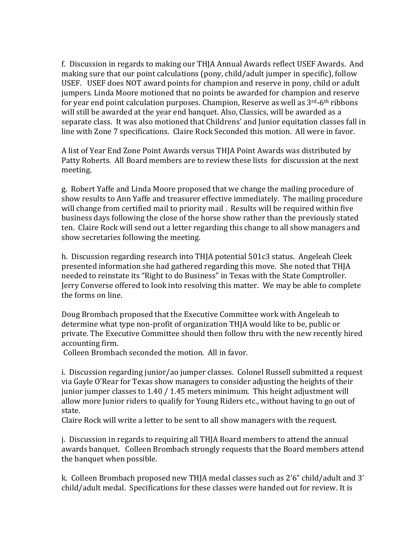f. Discussion in regards to making our THJA Annual Awards reflect USEF Awards. And making sure that our point calculations (pony, child/adult jumper in specific), follow USEF. USEF does NOT award points for champion and reserve in pony, child or adult jumpers. Linda Moore motioned that no points be awarded for champion and reserve for year end point calculation purposes. Champion, Reserve as well as 3rd-6th ribbons will still be awarded at the year end banquet. Also, Classics, will be awarded as a separate class. It was also motioned that Childrens' and Junior equitation classes fall in line with Zone 7 specifications. Claire Rock Seconded this motion. All were in favor.

A list of Year End Zone Point Awards versus THJA Point Awards was distributed by Patty Roberts. All Board members are to review these lists for discussion at the next meeting.

g. Robert Yaffe and Linda Moore proposed that we change the mailing procedure of show results to Ann Yaffe and treasurer effective immediately. The mailing procedure will change from certified mail to priority mail . Results will be required within five business days following the close of the horse show rather than the previously stated ten. Claire Rock will send out a letter regarding this change to all show managers and show secretaries following the meeting.

h. Discussion regarding research into THJA potential 501c3 status. Angeleah Cleek presented information she had gathered regarding this move. She noted that THJA needed to reinstate its "Right to do Business" in Texas with the State Comptroller. Jerry Converse offered to look into resolving this matter. We may be able to complete the forms on line.

Doug Brombach proposed that the Executive Committee work with Angeleah to determine what type non-profit of organization THJA would like to be, public or private. The Executive Committee should then follow thru with the new recently hired accounting firm.

Colleen Brombach seconded the motion. All in favor.

i. Discussion regarding junior/ao jumper classes. Colonel Russell submitted a request via Gayle O'Rear for Texas show managers to consider adjusting the heights of their junior jumper classes to 1.40 / 1.45 meters minimum. This height adjustment will allow more Junior riders to qualify for Young Riders etc., without having to go out of state.

Claire Rock will write a letter to be sent to all show managers with the request.

j. Discussion in regards to requiring all THJA Board members to attend the annual awards banquet. Colleen Brombach strongly requests that the Board members attend the banquet when possible.

k. Colleen Brombach proposed new THJA medal classes such as 2'6" child/adult and 3' child/adult medal. Specifications for these classes were handed out for review. It is